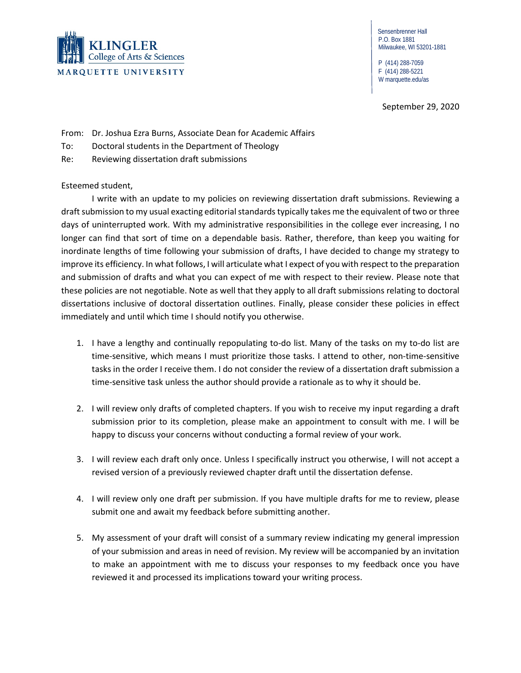

 Sensenbrenner Hall P.O. Box 1881 Milwaukee, WI 53201-1881

 P (414) 288-7059 F (414) 288-5221 W marquette.edu/as

September 29, 2020

From: Dr. Joshua Ezra Burns, Associate Dean for Academic Affairs

- To: Doctoral students in the Department of Theology
- Re: Reviewing dissertation draft submissions

Esteemed student,

I write with an update to my policies on reviewing dissertation draft submissions. Reviewing a draft submission to my usual exacting editorial standardstypically takes me the equivalent of two or three days of uninterrupted work. With my administrative responsibilities in the college ever increasing, I no longer can find that sort of time on a dependable basis. Rather, therefore, than keep you waiting for inordinate lengths of time following your submission of drafts, I have decided to change my strategy to improve its efficiency. In what follows, I will articulate what I expect of you with respect to the preparation and submission of drafts and what you can expect of me with respect to their review. Please note that these policies are not negotiable. Note as well that they apply to all draft submissions relating to doctoral dissertations inclusive of doctoral dissertation outlines. Finally, please consider these policies in effect immediately and until which time I should notify you otherwise.

- 1. I have a lengthy and continually repopulating to-do list. Many of the tasks on my to-do list are time-sensitive, which means I must prioritize those tasks. I attend to other, non-time-sensitive tasks in the order I receive them. I do not consider the review of a dissertation draft submission a time-sensitive task unless the author should provide a rationale as to why it should be.
- 2. I will review only drafts of completed chapters. If you wish to receive my input regarding a draft submission prior to its completion, please make an appointment to consult with me. I will be happy to discuss your concerns without conducting a formal review of your work.
- 3. I will review each draft only once. Unless I specifically instruct you otherwise, I will not accept a revised version of a previously reviewed chapter draft until the dissertation defense.
- 4. I will review only one draft per submission. If you have multiple drafts for me to review, please submit one and await my feedback before submitting another.
- 5. My assessment of your draft will consist of a summary review indicating my general impression of your submission and areas in need of revision. My review will be accompanied by an invitation to make an appointment with me to discuss your responses to my feedback once you have reviewed it and processed its implications toward your writing process.